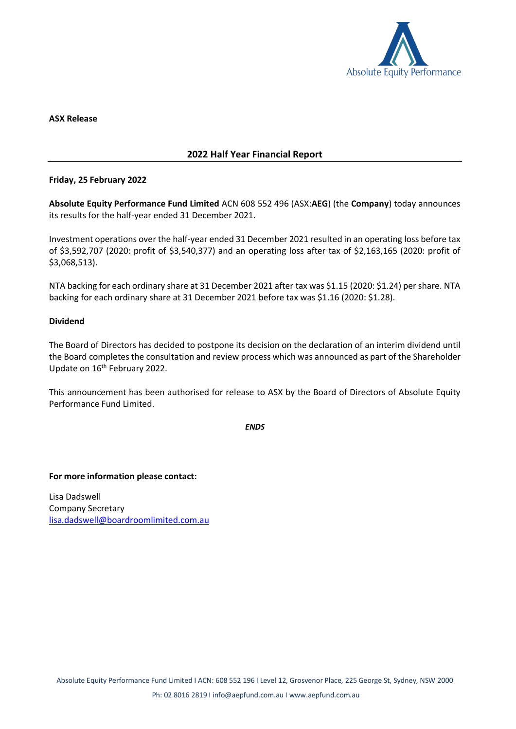

### **ASX Release**

# **2022 Half Year Financial Report**

# **Friday, 25 February 2022**

**Absolute Equity Performance Fund Limited** ACN 608 552 496 (ASX:**AEG**) (the **Company**) today announces its results for the half-year ended 31 December 2021.

Investment operations over the half-year ended 31 December 2021 resulted in an operating loss before tax of \$3,592,707 (2020: profit of \$3,540,377) and an operating loss after tax of \$2,163,165 (2020: profit of \$3,068,513).

NTA backing for each ordinary share at 31 December 2021 after tax was \$1.15 (2020: \$1.24) per share. NTA backing for each ordinary share at 31 December 2021 before tax was \$1.16 (2020: \$1.28).

# **Dividend**

The Board of Directors has decided to postpone its decision on the declaration of an interim dividend until the Board completes the consultation and review process which was announced as part of the Shareholder Update on 16<sup>th</sup> February 2022.

This announcement has been authorised for release to ASX by the Board of Directors of Absolute Equity Performance Fund Limited.

*ENDS*

**For more information please contact:**

Lisa Dadswell Company Secretary [lisa.dadswell@boardroomlimited.com.au](mailto:lisa.dadswell@boardroomlimited.com.au)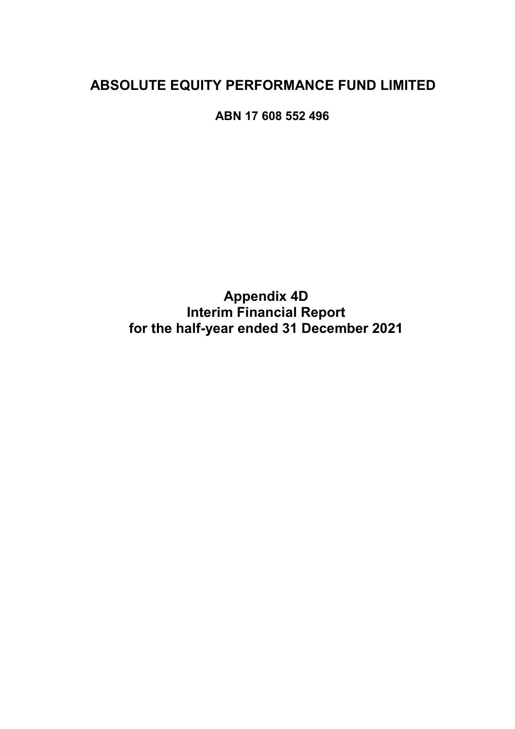# **ABSOLUTE EQUITY PERFORMANCE FUND LIMITED**

**ABN 17 608 552 496** 

**Appendix 4D Interim Financial Report for the half-year ended 31 December 2021**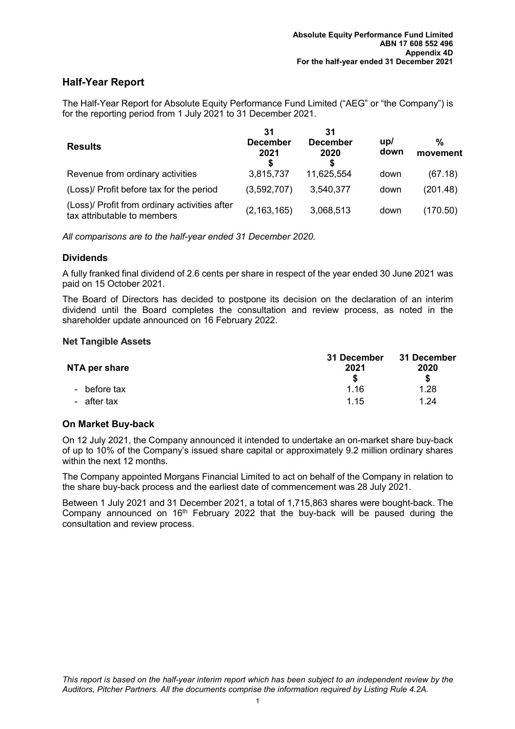# **Half-Year Report**

The Half-Year Report for Absolute Equity Performance Fund Limited ("AEG" or "the Company") is for the reporting period from 1 July 2021 to 31 December 2021.

| <b>Results</b>                                                               | 31<br><b>December</b><br>2021 | 31<br><b>December</b><br>2020<br>S | up/<br>down | %<br>movement |
|------------------------------------------------------------------------------|-------------------------------|------------------------------------|-------------|---------------|
| Revenue from ordinary activities                                             | 3,815,737                     | 11,625,554                         | down        | (67.18)       |
| (Loss)/ Profit before tax for the period                                     | (3,592,707)                   | 3,540,377                          | down        | (201.48)      |
| (Loss)/ Profit from ordinary activities after<br>tax attributable to members | (2, 163, 165)                 | 3,068,513                          | down        | (170.50)      |

*All comparisons are to the half-year ended 31 December 2020.* 

# **Dividends**

A fully franked final dividend of 2.6 cents per share in respect of the year ended 30 June 2021 was paid on 15 October 2021.

The Board of Directors has decided to postpone its decision on the declaration of an interim dividend until the Board completes the consultation and review process, as noted in the shareholder update announced on 16 February 2022.

# **Net Tangible Assets**

| NTA per share | 31 December<br>2021 | 31 December<br>2020 |  |
|---------------|---------------------|---------------------|--|
|               |                     | S                   |  |
| - before tax  | 1.16                | 1.28                |  |
| - after tax   | 1 15                | 1.24                |  |

# **On Market Buy-back**

On 12 July 2021, the Company announced it intended to undertake an on-market share buy-back of up to 10% of the Company's issued share capital or approximately 9.2 million ordinary shares within the next 12 months.

The Company appointed Morgans Financial Limited to act on behalf of the Company in relation to the share buy-back process and the earliest date of commencement was 28 July 2021.

Between 1 July 2021 and 31 December 2021, a total of 1,715,863 shares were bought-back. The Company announced on  $16<sup>th</sup>$  February 2022 that the buy-back will be paused during the consultation and review process.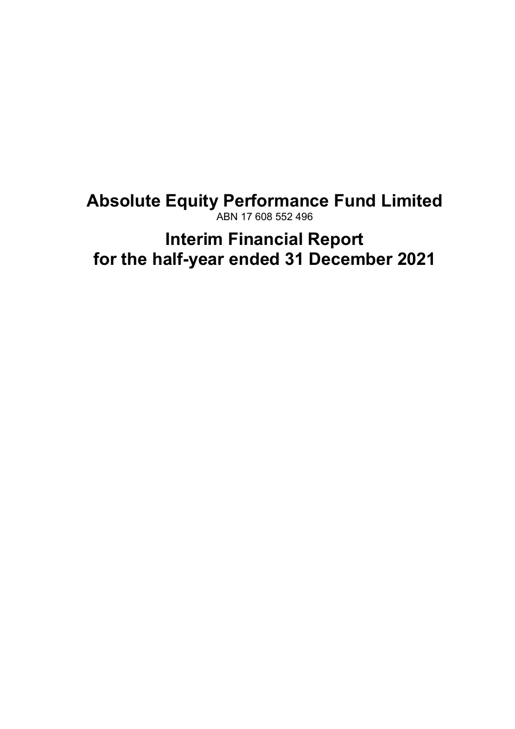# **Absolute Equity Performance Fund Limited**  ABN 17 608 552 496

# **Interim Financial Report for the half-year ended 31 December 2021**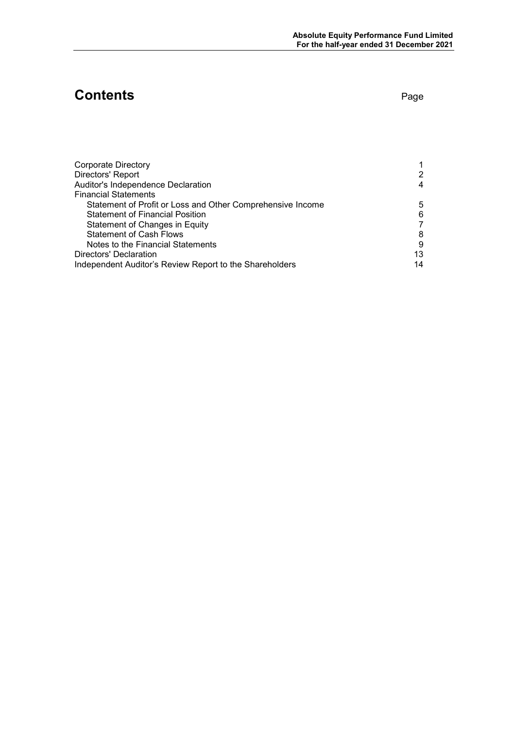# **Contents** Page

| <b>Corporate Directory</b>                                 |    |
|------------------------------------------------------------|----|
| Directors' Report                                          | 2  |
| Auditor's Independence Declaration                         | 4  |
| <b>Financial Statements</b>                                |    |
| Statement of Profit or Loss and Other Comprehensive Income | 5  |
| <b>Statement of Financial Position</b>                     | 6  |
| Statement of Changes in Equity                             |    |
| <b>Statement of Cash Flows</b>                             | 8  |
| Notes to the Financial Statements                          | 9  |
| Directors' Declaration                                     | 13 |
| Independent Auditor's Review Report to the Shareholders    | 14 |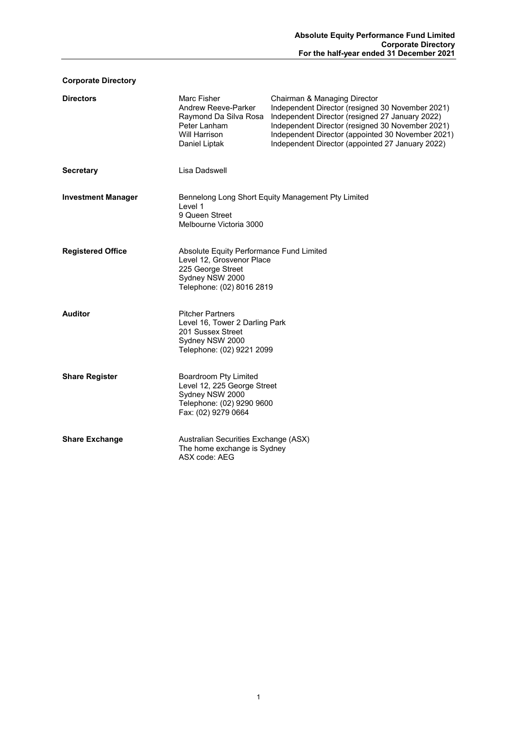# **Corporate Directory**

| <b>Directors</b>          | Marc Fisher<br>Andrew Reeve-Parker<br>Raymond Da Silva Rosa<br>Peter Lanham<br>Will Harrison<br>Daniel Liptak                              | Chairman & Managing Director<br>Independent Director (resigned 30 November 2021)<br>Independent Director (resigned 27 January 2022)<br>Independent Director (resigned 30 November 2021)<br>Independent Director (appointed 30 November 2021)<br>Independent Director (appointed 27 January 2022) |
|---------------------------|--------------------------------------------------------------------------------------------------------------------------------------------|--------------------------------------------------------------------------------------------------------------------------------------------------------------------------------------------------------------------------------------------------------------------------------------------------|
| <b>Secretary</b>          | Lisa Dadswell                                                                                                                              |                                                                                                                                                                                                                                                                                                  |
| <b>Investment Manager</b> | Level 1<br>9 Queen Street<br>Melbourne Victoria 3000                                                                                       | Bennelong Long Short Equity Management Pty Limited                                                                                                                                                                                                                                               |
| <b>Registered Office</b>  | Absolute Equity Performance Fund Limited<br>Level 12, Grosvenor Place<br>225 George Street<br>Sydney NSW 2000<br>Telephone: (02) 8016 2819 |                                                                                                                                                                                                                                                                                                  |
| <b>Auditor</b>            | <b>Pitcher Partners</b><br>Level 16, Tower 2 Darling Park<br>201 Sussex Street<br>Sydney NSW 2000<br>Telephone: (02) 9221 2099             |                                                                                                                                                                                                                                                                                                  |
| <b>Share Register</b>     | Boardroom Pty Limited<br>Level 12, 225 George Street<br>Sydney NSW 2000<br>Telephone: (02) 9290 9600<br>Fax: (02) 9279 0664                |                                                                                                                                                                                                                                                                                                  |
| <b>Share Exchange</b>     | Australian Securities Exchange (ASX)<br>The home exchange is Sydney<br>ASX code: AEG                                                       |                                                                                                                                                                                                                                                                                                  |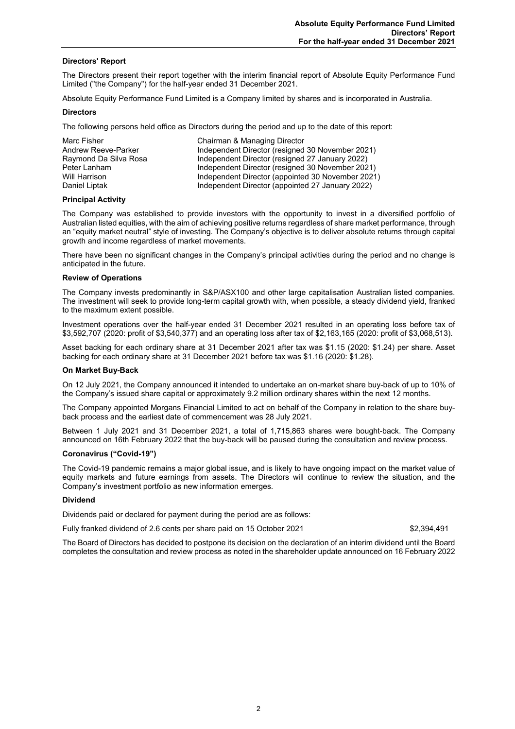#### **Directors' Report**

The Directors present their report together with the interim financial report of Absolute Equity Performance Fund Limited ("the Company") for the half-year ended 31 December 2021.

Absolute Equity Performance Fund Limited is a Company limited by shares and is incorporated in Australia.

#### **Directors**

The following persons held office as Directors during the period and up to the date of this report:

| Marc Fisher           | Chairman & Managing Director                      |
|-----------------------|---------------------------------------------------|
| Andrew Reeve-Parker   | Independent Director (resigned 30 November 2021)  |
| Raymond Da Silva Rosa | Independent Director (resigned 27 January 2022)   |
| Peter Lanham          | Independent Director (resigned 30 November 2021)  |
| Will Harrison         | Independent Director (appointed 30 November 2021) |
| Daniel Liptak         | Independent Director (appointed 27 January 2022)  |

#### **Principal Activity**

The Company was established to provide investors with the opportunity to invest in a diversified portfolio of Australian listed equities, with the aim of achieving positive returns regardless of share market performance, through an "equity market neutral" style of investing. The Company's objective is to deliver absolute returns through capital growth and income regardless of market movements.

There have been no significant changes in the Company's principal activities during the period and no change is anticipated in the future.

#### **Review of Operations**

The Company invests predominantly in S&P/ASX100 and other large capitalisation Australian listed companies. The investment will seek to provide long-term capital growth with, when possible, a steady dividend yield, franked to the maximum extent possible.

Investment operations over the half-year ended 31 December 2021 resulted in an operating loss before tax of \$3,592,707 (2020: profit of \$3,540,377) and an operating loss after tax of \$2,163,165 (2020: profit of \$3,068,513).

Asset backing for each ordinary share at 31 December 2021 after tax was \$1.15 (2020: \$1.24) per share. Asset backing for each ordinary share at 31 December 2021 before tax was \$1.16 (2020: \$1.28).

#### **On Market Buy-Back**

On 12 July 2021, the Company announced it intended to undertake an on-market share buy-back of up to 10% of the Company's issued share capital or approximately 9.2 million ordinary shares within the next 12 months.

The Company appointed Morgans Financial Limited to act on behalf of the Company in relation to the share buyback process and the earliest date of commencement was 28 July 2021.

Between 1 July 2021 and 31 December 2021, a total of 1,715,863 shares were bought-back. The Company announced on 16th February 2022 that the buy-back will be paused during the consultation and review process.

#### **Coronavirus ("Covid-19")**

The Covid-19 pandemic remains a major global issue, and is likely to have ongoing impact on the market value of equity markets and future earnings from assets. The Directors will continue to review the situation, and the Company's investment portfolio as new information emerges.

#### **Dividend**

Dividends paid or declared for payment during the period are as follows:

Fully franked dividend of 2.6 cents per share paid on 15 October 2021 \$2,394,491

The Board of Directors has decided to postpone its decision on the declaration of an interim dividend until the Board completes the consultation and review process as noted in the shareholder update announced on 16 February 2022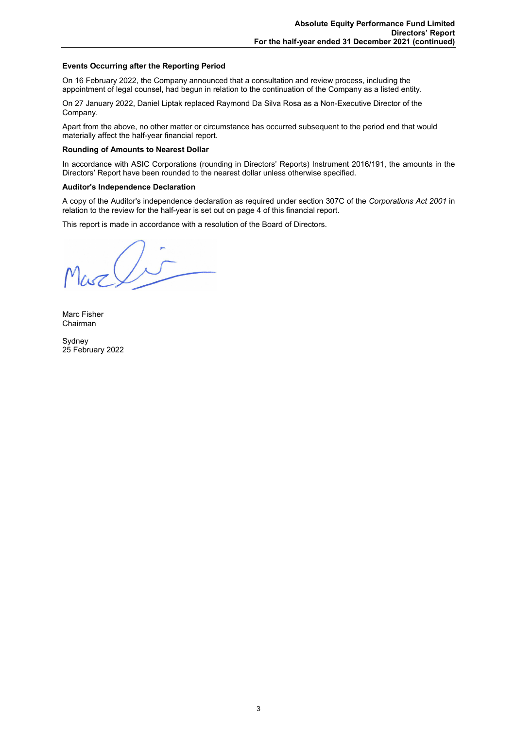### **Events Occurring after the Reporting Period**

On 16 February 2022, the Company announced that a consultation and review process, including the appointment of legal counsel, had begun in relation to the continuation of the Company as a listed entity.

On 27 January 2022, Daniel Liptak replaced Raymond Da Silva Rosa as a Non-Executive Director of the Company.

Apart from the above, no other matter or circumstance has occurred subsequent to the period end that would materially affect the half-year financial report.

#### **Rounding of Amounts to Nearest Dollar**

In accordance with ASIC Corporations (rounding in Directors' Reports) Instrument 2016/191, the amounts in the Directors' Report have been rounded to the nearest dollar unless otherwise specified.

#### **Auditor's Independence Declaration**

A copy of the Auditor's independence declaration as required under section 307C of the *Corporations Act 2001* in relation to the review for the half-year is set out on page 4 of this financial report.

This report is made in accordance with a resolution of the Board of Directors.

Marli

Marc Fisher Chairman

Sydney 25 February 2022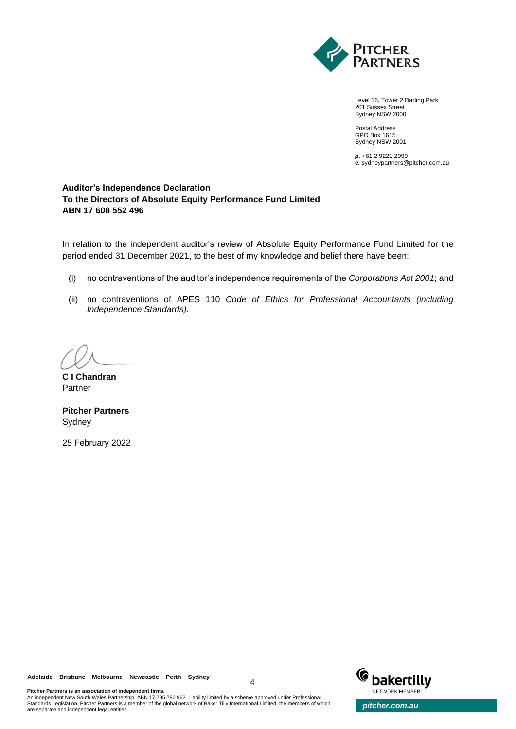

Level 16, Tower 2 Darling Park 201 Sussex Street Sydney NSW 2000

Postal Address GPO Box 1615 Sydney NSW 2001

*p.* +61 2 9221 2099 *e.* sydneypartners@pitcher.com.au

# **Auditor's Independence Declaration To the Directors of Absolute Equity Performance Fund Limited ABN 17 608 552 496**

In relation to the independent auditor's review of Absolute Equity Performance Fund Limited for the period ended 31 December 2021, to the best of my knowledge and belief there have been:

- (i) no contraventions of the auditor's independence requirements of the *Corporations Act 2001*; and
- (ii) no contraventions of APES 110 *Code of Ethics for Professional Accountants (including Independence Standards).*

**C I Chandran** Partner

**Pitcher Partners** Sydney

25 February 2022

**Adelaide Brisbane Melbourne Newcastle Perth Sydney**

**Pitcher Partners is an association of independent firms.**



An independent New South Wales Partnership. ABN 17 795 780 962. Liability limited by a scheme approved under Professional Standards Legislation. Pitcher Partners is a member of the global network of Baker Tilly International Limited, the members of which **pitcher.com.au**<br>are separate and independent legal entities.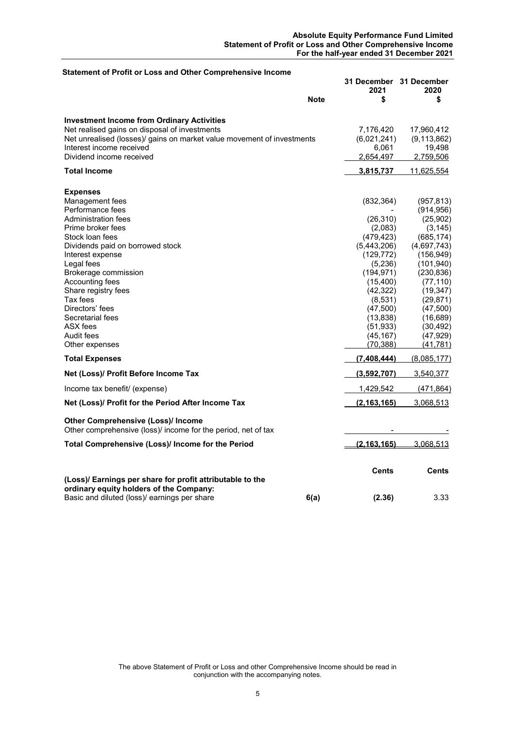| Statement of Profit or Loss and Other Comprehensive Income                                                 |             |                                 |                   |
|------------------------------------------------------------------------------------------------------------|-------------|---------------------------------|-------------------|
|                                                                                                            |             | 31 December 31 December<br>2021 | 2020              |
|                                                                                                            | <b>Note</b> | \$                              | \$                |
| <b>Investment Income from Ordinary Activities</b>                                                          |             |                                 |                   |
| Net realised gains on disposal of investments                                                              |             | 7,176,420                       | 17,960,412        |
| Net unrealised (losses)/ gains on market value movement of investments                                     |             | (6,021,241)                     | (9, 113, 862)     |
| Interest income received                                                                                   |             | 6,061                           | 19,498            |
| Dividend income received                                                                                   |             | 2,654,497                       | 2,759,506         |
|                                                                                                            |             |                                 |                   |
| <b>Total Income</b>                                                                                        |             | <u>3,815,737 </u>               | <u>11,625,554</u> |
| <b>Expenses</b>                                                                                            |             |                                 |                   |
| Management fees                                                                                            |             | (832, 364)                      | (957, 813)        |
| Performance fees                                                                                           |             |                                 | (914, 956)        |
| Administration fees                                                                                        |             | (26, 310)                       | (25,902)          |
| Prime broker fees                                                                                          |             | (2,083)                         | (3, 145)          |
| Stock loan fees                                                                                            |             | (479,423)                       | (685, 174)        |
| Dividends paid on borrowed stock                                                                           |             | (5,443,206)                     | (4,697,743)       |
| Interest expense                                                                                           |             | (129, 772)                      | (156,949)         |
| Legal fees                                                                                                 |             | (5,236)                         | (101,940)         |
| Brokerage commission                                                                                       |             | (194, 971)                      | (230, 836)        |
| Accounting fees                                                                                            |             | (15, 400)                       | (77, 110)         |
| Share registry fees                                                                                        |             | (42, 322)                       | (19, 347)         |
| Tax fees                                                                                                   |             | (8,531)                         | (29, 871)         |
| Directors' fees                                                                                            |             | (47,500)                        | (47,500)          |
| Secretarial fees                                                                                           |             | (13, 838)                       | (16, 689)         |
| ASX fees                                                                                                   |             | (51,933)                        | (30, 492)         |
| Audit fees                                                                                                 |             | (45,167)                        | (47, 929)         |
| Other expenses                                                                                             |             | (70, 388)                       | (41, 781)         |
| <b>Total Expenses</b>                                                                                      |             | (7,408,444)                     | (8,085,177)       |
| Net (Loss)/ Profit Before Income Tax                                                                       |             | (3,592,707)                     | 3,540,377         |
| Income tax benefit/ (expense)                                                                              |             | 1,429,542                       | <u>(471,864)</u>  |
| Net (Loss)/ Profit for the Period After Income Tax                                                         |             | (2, 163, 165)                   | <u>3,068,513</u>  |
| <b>Other Comprehensive (Loss)/ Income</b><br>Other comprehensive (loss)/ income for the period, net of tax |             |                                 |                   |
| Total Comprehensive (Loss)/ Income for the Period                                                          |             | (2, 163, 165)                   | 3,068,513         |
|                                                                                                            |             |                                 |                   |
|                                                                                                            |             | <b>Cents</b>                    | Cents             |
| (Loss)/ Earnings per share for profit attributable to the                                                  |             |                                 |                   |
| ordinary equity holders of the Company:                                                                    |             |                                 |                   |
| Basic and diluted (loss)/ earnings per share                                                               | 6(a)        | (2.36)                          | 3.33              |

The above Statement of Profit or Loss and other Comprehensive Income should be read in conjunction with the accompanying notes.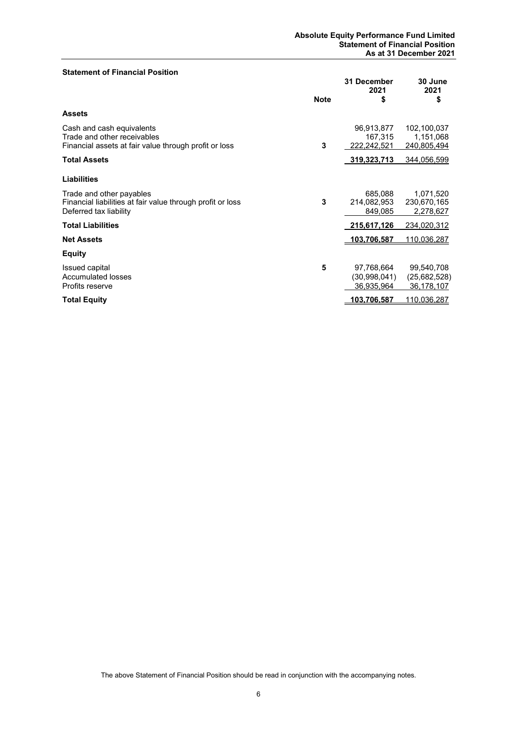#### **Statement of Financial Position**

|                                                                                                                   | <b>Note</b> | 31 December<br>2021<br>\$                  | 30 June<br>2021<br>\$                    |
|-------------------------------------------------------------------------------------------------------------------|-------------|--------------------------------------------|------------------------------------------|
| <b>Assets</b>                                                                                                     |             |                                            |                                          |
| Cash and cash equivalents<br>Trade and other receivables<br>Financial assets at fair value through profit or loss | 3           | 96,913,877<br>167,315<br>222,242,521       | 102,100,037<br>1,151,068<br>240,805,494  |
| <b>Total Assets</b>                                                                                               |             | 319,323,713                                | 344,056,599                              |
| <b>Liabilities</b>                                                                                                |             |                                            |                                          |
| Trade and other payables<br>Financial liabilities at fair value through profit or loss<br>Deferred tax liability  | 3           | 685,088<br>214,082,953<br>849,085          | 1,071,520<br>230,670,165<br>2,278,627    |
| <b>Total Liabilities</b>                                                                                          |             | 215,617,126                                | 234,020,312                              |
| <b>Net Assets</b>                                                                                                 |             | 103.706.587                                | 110.036.287                              |
| <b>Equity</b>                                                                                                     |             |                                            |                                          |
| Issued capital<br><b>Accumulated losses</b><br>Profits reserve                                                    | 5           | 97,768,664<br>(30, 998, 041)<br>36,935,964 | 99,540,708<br>(25,682,528)<br>36,178,107 |
| <b>Total Equity</b>                                                                                               |             | 103,706,587                                | <u>110,036,287</u>                       |

The above Statement of Financial Position should be read in conjunction with the accompanying notes.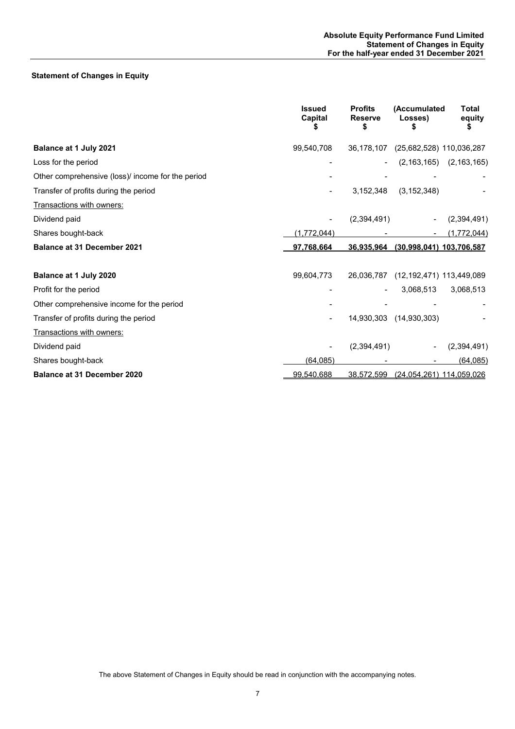# **Statement of Changes in Equity**

|                                                   | <b>Issued</b><br>Capital | <b>Profits</b><br><b>Reserve</b><br>S | (Accumulated<br>Losses)      | Total<br>equity |
|---------------------------------------------------|--------------------------|---------------------------------------|------------------------------|-----------------|
| Balance at 1 July 2021                            | 99,540,708               | 36,178,107                            | (25,682,528) 110,036,287     |                 |
| Loss for the period                               |                          |                                       | (2, 163, 165)                | (2, 163, 165)   |
| Other comprehensive (loss)/ income for the period |                          |                                       |                              |                 |
| Transfer of profits during the period             |                          | 3,152,348                             | (3, 152, 348)                |                 |
| Transactions with owners:                         |                          |                                       |                              |                 |
| Dividend paid                                     |                          | (2,394,491)                           |                              | (2,394,491)     |
| Shares bought-back                                | (1,772,044)              |                                       |                              | (1,772,044)     |
| <b>Balance at 31 December 2021</b>                | 97,768,664               | 36,935,964                            | (30,998,041) 103,706,587     |                 |
| Balance at 1 July 2020                            | 99,604,773               | 26,036,787                            | (12, 192, 471) 113, 449, 089 |                 |
| Profit for the period                             |                          |                                       | 3,068,513                    | 3,068,513       |
| Other comprehensive income for the period         |                          |                                       |                              |                 |
| Transfer of profits during the period             |                          | 14,930,303                            | (14,930,303)                 |                 |
| Transactions with owners:                         |                          |                                       |                              |                 |
| Dividend paid                                     |                          | (2,394,491)                           |                              | (2,394,491)     |
| Shares bought-back                                | (64, 085)                |                                       |                              | (64, 085)       |
| <b>Balance at 31 December 2020</b>                | 99.540.688               | 38,572,599                            | (24,054,261) 114,059,026     |                 |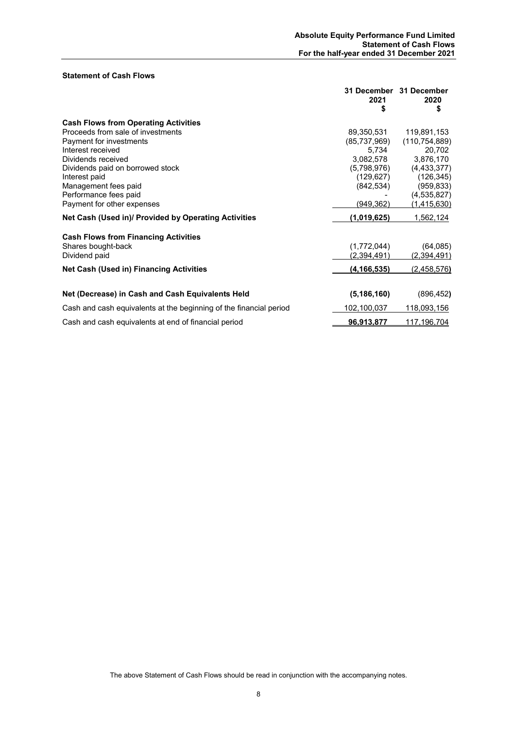#### **Statement of Cash Flows**

|                                                                    | 2021<br>S      | 31 December 31 December<br>2020<br>\$ |
|--------------------------------------------------------------------|----------------|---------------------------------------|
| <b>Cash Flows from Operating Activities</b>                        |                |                                       |
| Proceeds from sale of investments                                  | 89,350,531     | 119,891,153                           |
| Payment for investments                                            | (85, 737, 969) | (110, 754, 889)                       |
| Interest received                                                  | 5,734          | 20,702                                |
| Dividends received                                                 | 3,082,578      | 3,876,170                             |
| Dividends paid on borrowed stock                                   | (5,798,976)    | (4, 433, 377)                         |
| Interest paid                                                      | (129,627)      | (126, 345)                            |
| Management fees paid                                               | (842, 534)     | (959, 833)                            |
| Performance fees paid                                              |                | (4, 535, 827)                         |
| Payment for other expenses                                         | (949,362)      | (1,415,630)                           |
| Net Cash (Used in)/ Provided by Operating Activities               | (1,019,625)    | 1,562,124                             |
| <b>Cash Flows from Financing Activities</b>                        |                |                                       |
| Shares bought-back                                                 | (1,772,044)    | (64, 085)                             |
| Dividend paid                                                      | (2,394,491)    | (2,394,491)                           |
| <b>Net Cash (Used in) Financing Activities</b>                     | (4, 166, 535)  | (2,458,576)                           |
|                                                                    |                |                                       |
| Net (Decrease) in Cash and Cash Equivalents Held                   | (5, 186, 160)  | (896, 452)                            |
| Cash and cash equivalents at the beginning of the financial period | 102,100,037    | <u>118,093,156</u>                    |
| Cash and cash equivalents at end of financial period               | 96,913,877     | 117,196,704                           |

The above Statement of Cash Flows should be read in conjunction with the accompanying notes.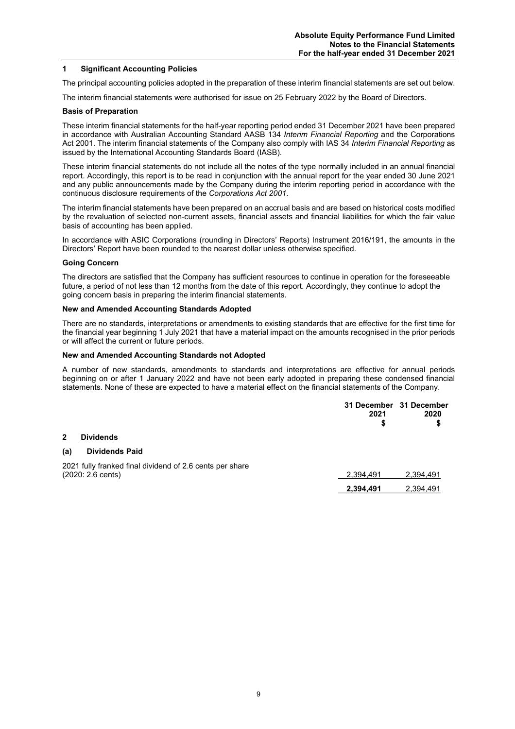#### **1 Significant Accounting Policies**

The principal accounting policies adopted in the preparation of these interim financial statements are set out below.

The interim financial statements were authorised for issue on 25 February 2022 by the Board of Directors.

#### **Basis of Preparation**

These interim financial statements for the half-year reporting period ended 31 December 2021 have been prepared in accordance with Australian Accounting Standard AASB 134 *Interim Financial Reporting* and the Corporations Act 2001. The interim financial statements of the Company also comply with IAS 34 *Interim Financial Reporting* as issued by the International Accounting Standards Board (IASB).

These interim financial statements do not include all the notes of the type normally included in an annual financial report. Accordingly, this report is to be read in conjunction with the annual report for the year ended 30 June 2021 and any public announcements made by the Company during the interim reporting period in accordance with the continuous disclosure requirements of the *Corporations Act 2001*.

The interim financial statements have been prepared on an accrual basis and are based on historical costs modified by the revaluation of selected non-current assets, financial assets and financial liabilities for which the fair value basis of accounting has been applied.

In accordance with ASIC Corporations (rounding in Directors' Reports) Instrument 2016/191, the amounts in the Directors' Report have been rounded to the nearest dollar unless otherwise specified.

#### **Going Concern**

The directors are satisfied that the Company has sufficient resources to continue in operation for the foreseeable future, a period of not less than 12 months from the date of this report. Accordingly, they continue to adopt the going concern basis in preparing the interim financial statements.

#### **New and Amended Accounting Standards Adopted**

There are no standards, interpretations or amendments to existing standards that are effective for the first time for the financial year beginning 1 July 2021 that have a material impact on the amounts recognised in the prior periods or will affect the current or future periods.

#### **New and Amended Accounting Standards not Adopted**

A number of new standards, amendments to standards and interpretations are effective for annual periods beginning on or after 1 January 2022 and have not been early adopted in preparing these condensed financial statements. None of these are expected to have a material effect on the financial statements of the Company.

|              |                                                                                         | 31 December 31 December<br>2021<br>S | 2020<br>\$ |
|--------------|-----------------------------------------------------------------------------------------|--------------------------------------|------------|
| $\mathbf{2}$ | <b>Dividends</b>                                                                        |                                      |            |
| (a)          | <b>Dividends Paid</b>                                                                   |                                      |            |
|              | 2021 fully franked final dividend of 2.6 cents per share<br>$(2020: 2.6 \text{ cents})$ | 2.394.491                            | 2,394,491  |
|              |                                                                                         | 2.394.491                            | 2.394.491  |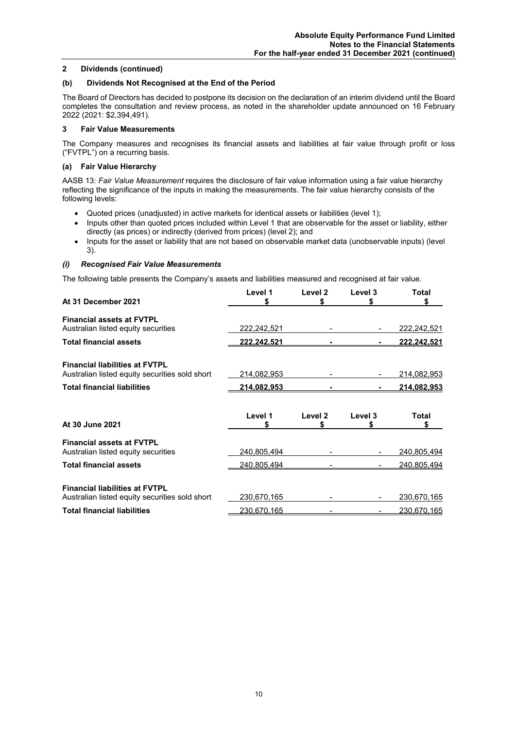### **2 Dividends (continued)**

#### **(b) Dividends Not Recognised at the End of the Period**

The Board of Directors has decided to postpone its decision on the declaration of an interim dividend until the Board completes the consultation and review process, as noted in the shareholder update announced on 16 February 2022 (2021: \$2,394,491).

#### **3 Fair Value Measurements**

The Company measures and recognises its financial assets and liabilities at fair value through profit or loss ("FVTPL") on a recurring basis.

#### **(a) Fair Value Hierarchy**

AASB 13: *Fair Value Measurement* requires the disclosure of fair value information using a fair value hierarchy reflecting the significance of the inputs in making the measurements. The fair value hierarchy consists of the following levels:

- Quoted prices (unadjusted) in active markets for identical assets or liabilities (level 1);
- Inputs other than quoted prices included within Level 1 that are observable for the asset or liability, either directly (as prices) or indirectly (derived from prices) (level 2); and
- Inputs for the asset or liability that are not based on observable market data (unobservable inputs) (level 3).

### *(i) Recognised Fair Value Measurements*

The following table presents the Company's assets and liabilities measured and recognised at fair value.

| At 31 December 2021                            | Level 1            | Level 2<br>S  | Level 3      | <b>Total</b><br>S  |
|------------------------------------------------|--------------------|---------------|--------------|--------------------|
| <b>Financial assets at FVTPL</b>               |                    |               |              |                    |
| Australian listed equity securities            | 222,242,521        |               |              | 222,242,521        |
| <b>Total financial assets</b>                  | <u>222,242,521</u> |               |              | <u>222.242.521</u> |
| <b>Financial liabilities at FVTPL</b>          |                    |               |              |                    |
| Australian listed equity securities sold short | 214,082,953        |               |              | 214,082,953        |
| <b>Total financial liabilities</b>             | <u>214.082.953</u> |               |              | <u>214,082,953</u> |
| At 30 June 2021                                | Level 1<br>\$      | Level 2<br>\$ | Level 3<br>S | Total<br>S         |
| <b>Financial assets at FVTPL</b>               |                    |               |              |                    |
| Australian listed equity securities            | 240,805,494        |               |              | 240,805,494        |
| <b>Total financial assets</b>                  | 240,805,494        |               |              | 240,805,494        |
| <b>Financial liabilities at FVTPL</b>          |                    |               |              |                    |
|                                                |                    |               |              |                    |
| Australian listed equity securities sold short | 230,670,165        |               |              | 230,670,165        |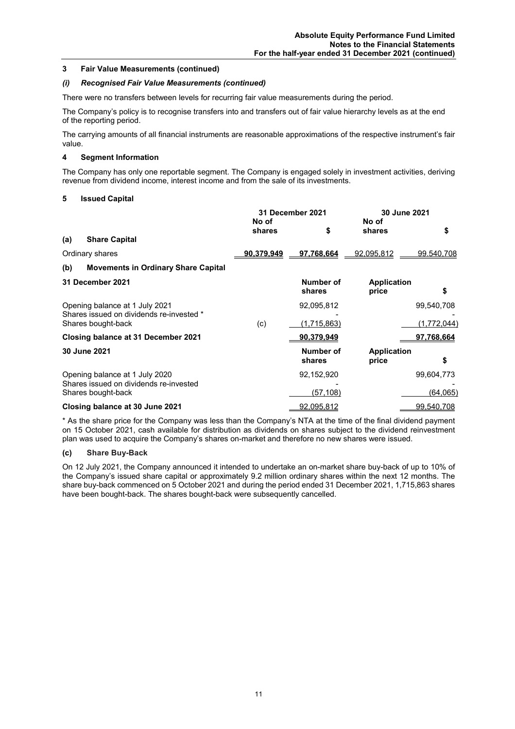#### **3 Fair Value Measurements (continued)**

#### *(i) Recognised Fair Value Measurements (continued)*

There were no transfers between levels for recurring fair value measurements during the period.

The Company's policy is to recognise transfers into and transfers out of fair value hierarchy levels as at the end of the reporting period.

The carrying amounts of all financial instruments are reasonable approximations of the respective instrument's fair value.

#### **4 Segment Information**

The Company has only one reportable segment. The Company is engaged solely in investment activities, deriving revenue from dividend income, interest income and from the sale of its investments.

#### **5 Issued Capital**

|     |                                                                | <b>31 December 2021</b> |                     | 30 June 2021                |             |
|-----|----------------------------------------------------------------|-------------------------|---------------------|-----------------------------|-------------|
|     |                                                                | No of<br>shares         | \$                  | No of<br>shares             | \$          |
| (a) | <b>Share Capital</b>                                           |                         |                     |                             |             |
|     | Ordinary shares                                                | <u>90,379,949</u>       | 97,768,664          | 92,095,812                  | 99.540,708  |
| (b) | <b>Movements in Ordinary Share Capital</b>                     |                         |                     |                             |             |
|     | 31 December 2021                                               |                         | Number of<br>shares | <b>Application</b><br>price | \$          |
|     | Opening balance at 1 July 2021                                 |                         | 92,095,812          |                             | 99,540,708  |
|     | Shares issued on dividends re-invested *<br>Shares bought-back | (c)                     | <u>(1,715,863)</u>  |                             | (1,772,044) |
|     | Closing balance at 31 December 2021                            |                         | 90,379,949          |                             | 97,768,664  |
|     | 30 June 2021                                                   |                         | Number of<br>shares | <b>Application</b><br>price | \$          |
|     | Opening balance at 1 July 2020                                 |                         | 92,152,920          |                             | 99,604,773  |
|     | Shares issued on dividends re-invested<br>Shares bought-back   |                         | (57, 108)           |                             | (64, 065)   |
|     | Closing balance at 30 June 2021                                |                         | 92,095,812          |                             | 99.540.708  |

\* As the share price for the Company was less than the Company's NTA at the time of the final dividend payment on 15 October 2021, cash available for distribution as dividends on shares subject to the dividend reinvestment plan was used to acquire the Company's shares on-market and therefore no new shares were issued.

#### **(c) Share Buy-Back**

On 12 July 2021, the Company announced it intended to undertake an on-market share buy-back of up to 10% of the Company's issued share capital or approximately 9.2 million ordinary shares within the next 12 months. The share buy-back commenced on 5 October 2021 and during the period ended 31 December 2021, 1,715,863 shares have been bought-back. The shares bought-back were subsequently cancelled.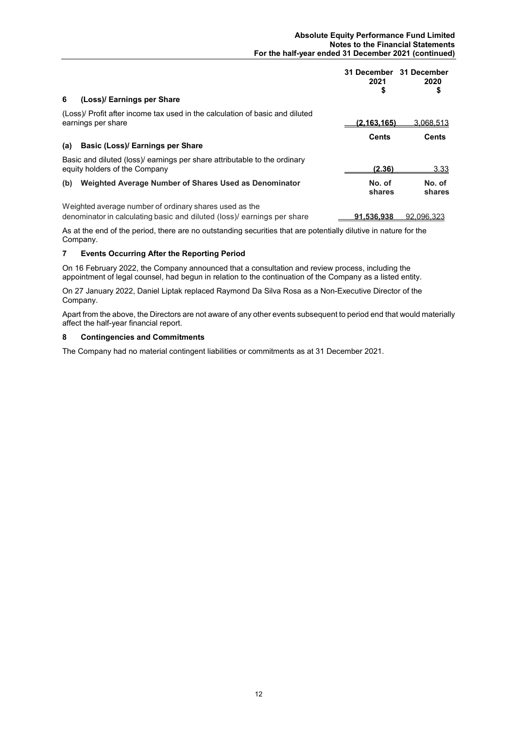| 6<br>(Loss)/ Earnings per Share                                                                                                  | 31 December 31 December<br>2021<br>\$ | 2020<br>\$       |
|----------------------------------------------------------------------------------------------------------------------------------|---------------------------------------|------------------|
| (Loss)/ Profit after income tax used in the calculation of basic and diluted<br>earnings per share                               | (2.163.165)                           | 3,068,513        |
| Basic (Loss)/ Earnings per Share<br>(a)                                                                                          | <b>Cents</b>                          | <b>Cents</b>     |
| Basic and diluted (loss)/ earnings per share attributable to the ordinary<br>equity holders of the Company                       | (2.36)                                | 3.33             |
| Weighted Average Number of Shares Used as Denominator<br>(b)                                                                     | No. of<br>shares                      | No. of<br>shares |
| Weighted average number of ordinary shares used as the<br>denominator in calculating basic and diluted (loss) earnings per share | 91.536.938                            | 92.096.323       |

As at the end of the period, there are no outstanding securities that are potentially dilutive in nature for the Company.

## **7 Events Occurring After the Reporting Period**

On 16 February 2022, the Company announced that a consultation and review process, including the appointment of legal counsel, had begun in relation to the continuation of the Company as a listed entity.

On 27 January 2022, Daniel Liptak replaced Raymond Da Silva Rosa as a Non-Executive Director of the Company.

Apart from the above, the Directors are not aware of any other events subsequent to period end that would materially affect the half-year financial report.

#### **8 Contingencies and Commitments**

The Company had no material contingent liabilities or commitments as at 31 December 2021.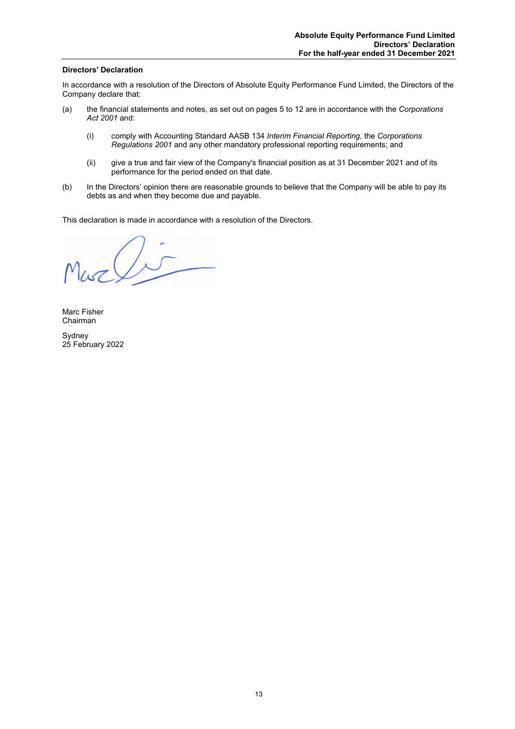### **Directors' Declaration**

In accordance with a resolution of the Directors of Absolute Equity Performance Fund Limited, the Directors of the Company declare that:

- (a) the financial statements and notes, as set out on pages 5 to 12 are in accordance with the *Corporations Act 2001* and:
	- (i) comply with Accounting Standard AASB 134 *Interim Financial Reporting,* the *Corporations Regulations 2001* and any other mandatory professional reporting requirements; and
	- (ii) give a true and fair view of the Company's financial position as at 31 December 2021 and of its performance for the period ended on that date.
- (b) In the Directors' opinion there are reasonable grounds to believe that the Company will be able to pay its debts as and when they become due and payable.

This declaration is made in accordance with a resolution of the Directors.

 $\log \sqrt{5}$ 

Marc Fisher Chairman

Sydney 25 February 2022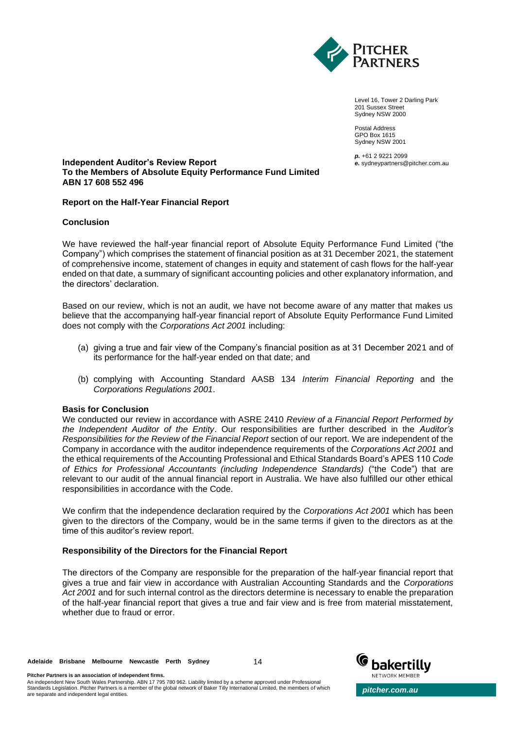

Level 16, Tower 2 Darling Park 201 Sussex Street Sydney NSW 2000

Postal Address GPO Box 1615 Sydney NSW 2001

*p.* +61 2 9221 2099 *e.* sydneypartners@pitcher.com.au

#### **Independent Auditor's Review Report To the Members of Absolute Equity Performance Fund Limited ABN 17 608 552 496**

# **Report on the Half-Year Financial Report**

# **Conclusion**

We have reviewed the half-year financial report of Absolute Equity Performance Fund Limited ("the Company") which comprises the statement of financial position as at 31 December 2021, the statement of comprehensive income, statement of changes in equity and statement of cash flows for the half-year ended on that date, a summary of significant accounting policies and other explanatory information, and the directors' declaration.

Based on our review, which is not an audit, we have not become aware of any matter that makes us believe that the accompanying half-year financial report of Absolute Equity Performance Fund Limited does not comply with the *Corporations Act 2001* including:

- (a) giving a true and fair view of the Company's financial position as at 31 December 2021 and of its performance for the half-year ended on that date; and
- (b) complying with Accounting Standard AASB 134 *Interim Financial Reporting* and the *Corporations Regulations 2001*.

### **Basis for Conclusion**

We conducted our review in accordance with ASRE 2410 *Review of a Financial Report Performed by the Independent Auditor of the Entity*. Our responsibilities are further described in the *Auditor's Responsibilities for the Review of the Financial Report* section of our report. We are independent of the Company in accordance with the auditor independence requirements of the *Corporations Act 2001* and the ethical requirements of the Accounting Professional and Ethical Standards Board's APES 110 *Code of Ethics for Professional Accountants (including Independence Standards)* ("the Code") that are relevant to our audit of the annual financial report in Australia. We have also fulfilled our other ethical responsibilities in accordance with the Code.

We confirm that the independence declaration required by the *Corporations Act 2001* which has been given to the directors of the Company, would be in the same terms if given to the directors as at the time of this auditor's review report.

### **Responsibility of the Directors for the Financial Report**

The directors of the Company are responsible for the preparation of the half-year financial report that gives a true and fair view in accordance with Australian Accounting Standards and the *Corporations Act 2001* and for such internal control as the directors determine is necessary to enable the preparation of the half-year financial report that gives a true and fair view and is free from material misstatement, whether due to fraud or error.

14



**Pitcher Partners is an association of independent firms.**

An independent New South Wales Partnership. ABN 17 795 780 962. Liability limited by a scheme approved under Professional<br>Standards Legislation. Pitcher Partners is a member of the global network of Baker Tilly Internation